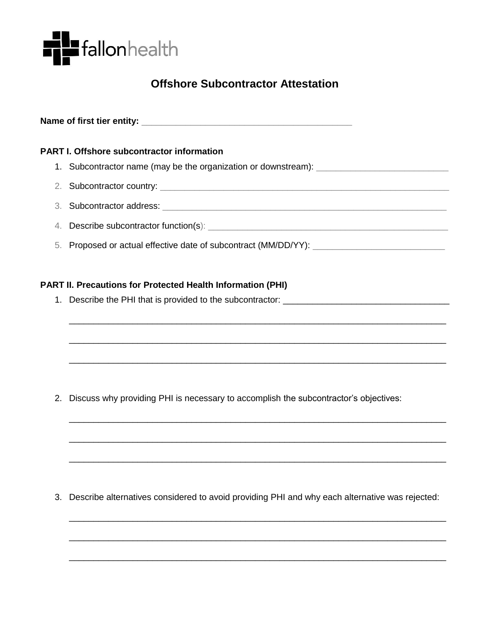

# **Offshore Subcontractor Attestation**

**Name of first tier entity:** \_\_\_\_\_\_\_\_\_\_\_\_\_\_\_\_\_\_\_\_\_\_\_\_\_\_\_\_\_\_\_\_\_\_\_\_\_\_\_\_\_\_\_

## **PART I. Offshore subcontractor information**

- 1. Subcontractor name (may be the organization or downstream): \_\_\_\_\_\_\_\_\_\_\_\_\_\_\_\_\_
- 2. Subcontractor country: \_\_\_\_\_\_\_\_\_\_\_\_\_\_\_\_\_\_\_\_\_\_\_\_\_\_\_\_\_\_\_\_\_\_\_\_\_\_\_\_\_\_\_\_\_\_\_\_\_\_\_\_\_\_\_\_\_\_\_
- 3. Subcontractor address:  $\overline{\phantom{a}}$
- 4. Describe subcontractor function(s): \_\_\_\_\_\_\_\_\_\_\_\_\_\_\_\_\_\_\_\_\_\_\_\_\_\_\_\_\_\_\_\_\_\_\_\_\_\_\_\_\_\_\_\_\_\_\_\_\_

\_\_\_\_\_\_\_\_\_\_\_\_\_\_\_\_\_\_\_\_\_\_\_\_\_\_\_\_\_\_\_\_\_\_\_\_\_\_\_\_\_\_\_\_\_\_\_\_\_\_\_\_\_\_\_\_\_\_\_\_\_\_\_\_\_\_\_\_\_\_\_\_\_\_\_\_\_

\_\_\_\_\_\_\_\_\_\_\_\_\_\_\_\_\_\_\_\_\_\_\_\_\_\_\_\_\_\_\_\_\_\_\_\_\_\_\_\_\_\_\_\_\_\_\_\_\_\_\_\_\_\_\_\_\_\_\_\_\_\_\_\_\_\_\_\_\_\_\_\_\_\_\_\_\_

\_\_\_\_\_\_\_\_\_\_\_\_\_\_\_\_\_\_\_\_\_\_\_\_\_\_\_\_\_\_\_\_\_\_\_\_\_\_\_\_\_\_\_\_\_\_\_\_\_\_\_\_\_\_\_\_\_\_\_\_\_\_\_\_\_\_\_\_\_\_\_\_\_\_\_\_\_

\_\_\_\_\_\_\_\_\_\_\_\_\_\_\_\_\_\_\_\_\_\_\_\_\_\_\_\_\_\_\_\_\_\_\_\_\_\_\_\_\_\_\_\_\_\_\_\_\_\_\_\_\_\_\_\_\_\_\_\_\_\_\_\_\_\_\_\_\_\_\_\_\_\_\_\_\_

\_\_\_\_\_\_\_\_\_\_\_\_\_\_\_\_\_\_\_\_\_\_\_\_\_\_\_\_\_\_\_\_\_\_\_\_\_\_\_\_\_\_\_\_\_\_\_\_\_\_\_\_\_\_\_\_\_\_\_\_\_\_\_\_\_\_\_\_\_\_\_\_\_\_\_\_\_

\_\_\_\_\_\_\_\_\_\_\_\_\_\_\_\_\_\_\_\_\_\_\_\_\_\_\_\_\_\_\_\_\_\_\_\_\_\_\_\_\_\_\_\_\_\_\_\_\_\_\_\_\_\_\_\_\_\_\_\_\_\_\_\_\_\_\_\_\_\_\_\_\_\_\_\_\_

\_\_\_\_\_\_\_\_\_\_\_\_\_\_\_\_\_\_\_\_\_\_\_\_\_\_\_\_\_\_\_\_\_\_\_\_\_\_\_\_\_\_\_\_\_\_\_\_\_\_\_\_\_\_\_\_\_\_\_\_\_\_\_\_\_\_\_\_\_\_\_\_\_\_\_\_\_

\_\_\_\_\_\_\_\_\_\_\_\_\_\_\_\_\_\_\_\_\_\_\_\_\_\_\_\_\_\_\_\_\_\_\_\_\_\_\_\_\_\_\_\_\_\_\_\_\_\_\_\_\_\_\_\_\_\_\_\_\_\_\_\_\_\_\_\_\_\_\_\_\_\_\_\_\_

\_\_\_\_\_\_\_\_\_\_\_\_\_\_\_\_\_\_\_\_\_\_\_\_\_\_\_\_\_\_\_\_\_\_\_\_\_\_\_\_\_\_\_\_\_\_\_\_\_\_\_\_\_\_\_\_\_\_\_\_\_\_\_\_\_\_\_\_\_\_\_\_\_\_\_\_\_

5. Proposed or actual effective date of subcontract (MM/DD/YY): \_\_\_\_\_\_\_\_\_\_\_\_\_\_\_\_

### **PART II. Precautions for Protected Health Information (PHI)**

1. Describe the PHI that is provided to the subcontractor: \_\_\_\_\_\_\_\_\_\_\_\_\_\_\_\_\_\_\_\_\_

2. Discuss why providing PHI is necessary to accomplish the subcontractor's objectives:

3. Describe alternatives considered to avoid providing PHI and why each alternative was rejected: